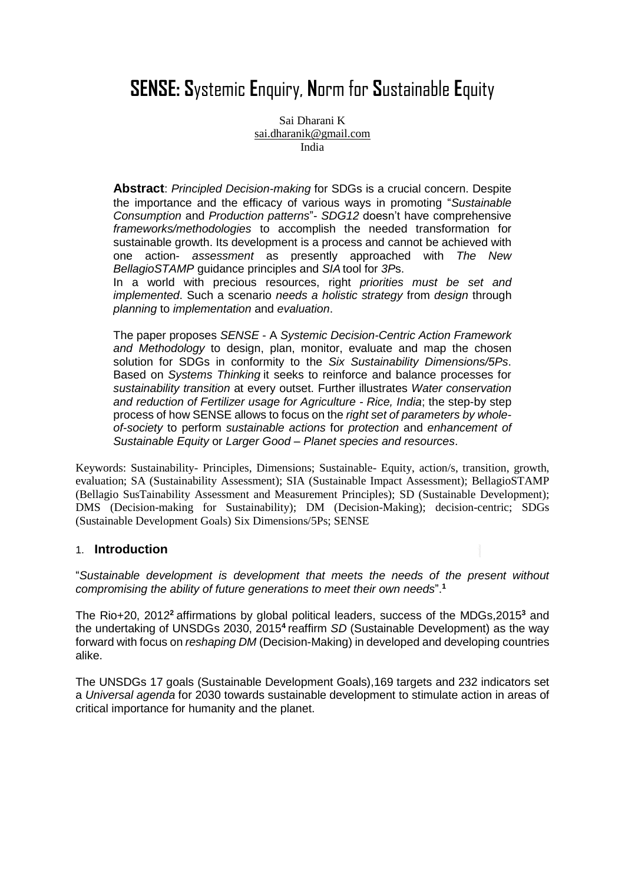# **SENSE: S**ystemic **E**nquiry, **N**orm for **S**ustainable **E**quity

Sai Dharani K [sai.dharanik@gmail.com](mailto:sai.dharanik@gmail.com) India

**Abstract**: *Principled Decision-making* for SDGs is a crucial concern. Despite the importance and the efficacy of various ways in promoting "*Sustainable Consumption* and *Production patterns*"- *SDG12* doesn't have comprehensive *frameworks/methodologies* to accomplish the needed transformation for sustainable growth. Its development is a process and cannot be achieved with one action- *assessment* as presently approached with *The New BellagioSTAMP* guidance principles and *SIA* tool for *3P*s.

In a world with precious resources, right *priorities must be set and implemented*. Such a scenario *needs a holistic strategy* from *design* through *planning* to *implementation* and *evaluation*.

The paper proposes *SENSE* - A *Systemic Decision-Centric Action Framework and Methodology* to design, plan, monitor, evaluate and map the chosen solution for SDGs in conformity to the *Six Sustainability Dimensions/5Ps*. Based on *Systems Thinking* it seeks to reinforce and balance processes for *sustainability transition* at every outset. Further illustrates *Water conservation and reduction of Fertilizer usage for Agriculture - Rice, India*; the step-by step process of how SENSE allows to focus on the *right set of parameters by wholeof-society* to perform *sustainable actions* for *protection* and *enhancement of Sustainable Equity* or *Larger Good* – *Planet species and resources*.

Keywords: Sustainability- Principles, Dimensions; Sustainable- Equity, action/s, transition, growth, evaluation; SA (Sustainability Assessment); SIA (Sustainable Impact Assessment); BellagioSTAMP (Bellagio SusTainability Assessment and Measurement Principles); SD (Sustainable Development); DMS (Decision-making for Sustainability); DM (Decision-Making); decision-centric; SDGs (Sustainable Development Goals) Six Dimensions/5Ps; SENSE

#### 1. **Introduction**

"*Sustainable development is development that meets the needs of the present without compromising the ability of future generations to meet their own needs*". **1**

The Rio+20, 2012**<sup>2</sup>** affirmations by global political leaders, success of the MDGs,2015**<sup>3</sup>** and the undertaking of UNSDGs 2030, 2015<sup>4</sup> reaffirm *SD* (Sustainable Development) as the way forward with focus on *reshaping DM* (Decision-Making) in developed and developing countries alike.

The UNSDGs 17 goals (Sustainable Development Goals),169 targets and 232 indicators set a *Universal agenda* for 2030 towards sustainable development to stimulate action in areas of critical importance for humanity and the planet.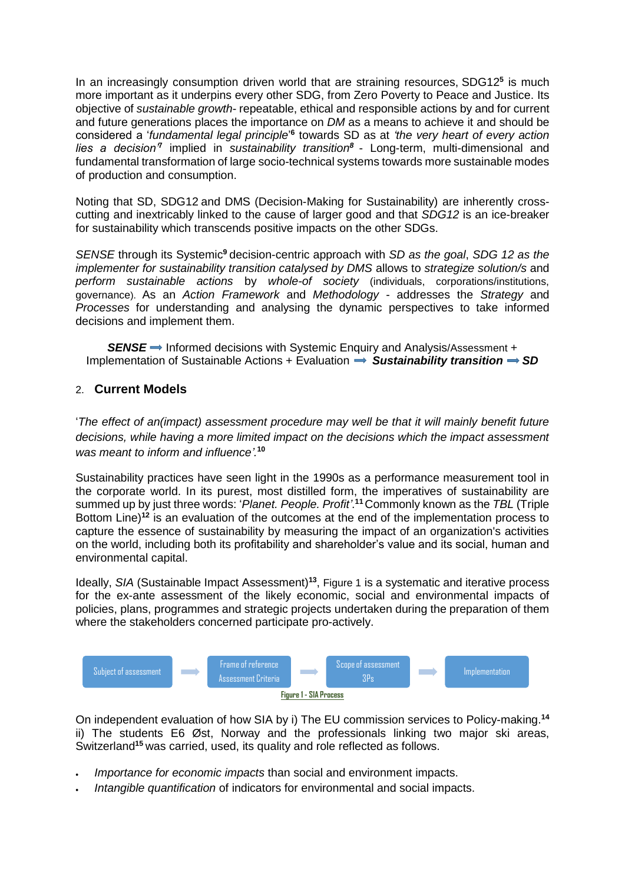In an increasingly consumption driven world that are straining resources, SDG12**<sup>5</sup>** is much more important as it underpins every other SDG, from Zero Poverty to Peace and Justice. Its objective of *sustainable growth*- repeatable, ethical and responsible actions by and for current and future generations places the importance on *DM* as a means to achieve it and should be considered a '*fundamental legal principle*' **6** towards SD as at *'the very heart of every action*  lies a decision<sup>7</sup> implied in sustainability transition<sup>8</sup> - Long-term, multi-dimensional and fundamental transformation of large socio-technical systems towards more sustainable modes of production and consumption.

Noting that SD, SDG12 and DMS (Decision-Making for Sustainability) are inherently crosscutting and inextricably linked to the cause of larger good and that *SDG12* is an ice-breaker for sustainability which transcends positive impacts on the other SDGs.

*SENSE* through its Systemic**<sup>9</sup>** decision-centric approach with *SD as the goal*, *SDG 12 as the implementer for sustainability transition catalysed by DMS* allows to *strategize solution/s* and *perform sustainable actions* by *whole-of society* (individuals, corporations/institutions, governance). As an *Action Framework* and *Methodology* - addresses the *Strategy* and *Processes* for understanding and analysing the dynamic perspectives to take informed decisions and implement them.

**SENSE** → Informed decisions with Systemic Enquiry and Analysis/Assessment + Implementation of Sustainable Actions + Evaluation  $\Rightarrow$  Sustainability transition  $\Rightarrow$  SD

#### 2. **Current Models**

'*The effect of an(impact) assessment procedure may well be that it will mainly benefit future decisions, while having a more limited impact on the decisions which the impact assessment was meant to inform and influence'.* **10**

Sustainability practices have seen light in the 1990s as a performance measurement tool in the corporate world. In its purest, most distilled form, the imperatives of sustainability are summed up by just three words: '*Planet. People. Profit'*. **<sup>11</sup>**Commonly known as the *TBL* (Triple Bottom Line)**<sup>12</sup>** is an evaluation of the outcomes at the end of the implementation process to capture the essence of sustainability by measuring the impact of an organization's activities on the world, including both its profitability and shareholder's value and its social, human and environmental capital.

Ideally, *SIA* (Sustainable Impact Assessment)**<sup>13</sup>** , Figure 1 is a systematic and iterative process for the ex-ante assessment of the likely economic, social and environmental impacts of policies, plans, programmes and strategic projects undertaken during the preparation of them where the stakeholders concerned participate pro-actively.



On independent evaluation of how SIA by i) The EU commission services to Policy-making. **14** ii) The students E6 Øst, Norway and the professionals linking two major ski areas, Switzerland**<sup>15</sup>** was carried, used, its quality and role reflected as follows.

- *Importance for economic impacts* than social and environment impacts.
- *Intangible quantification* of indicators for environmental and social impacts.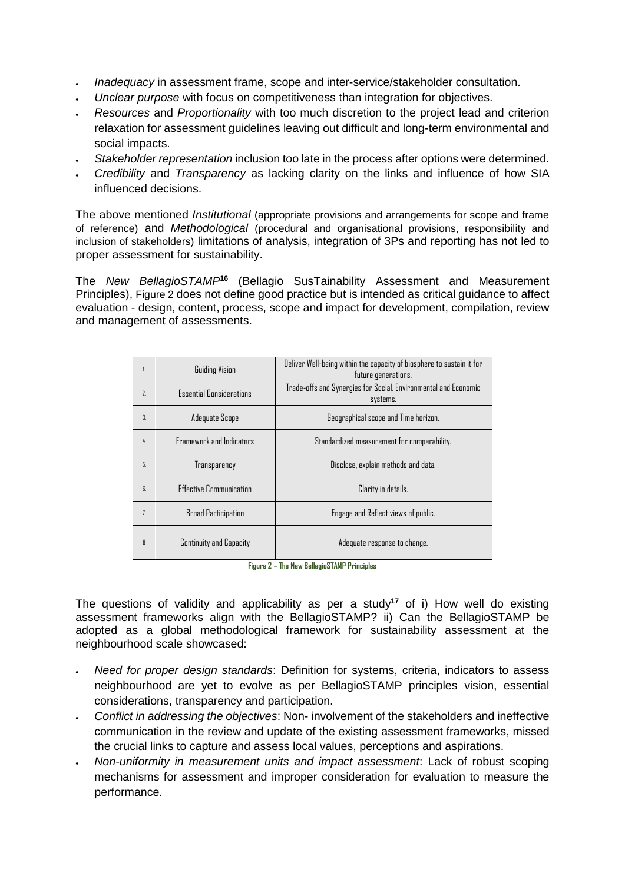- *Inadequacy* in assessment frame, scope and inter-service/stakeholder consultation.
- *Unclear purpose* with focus on competitiveness than integration for objectives.
- *Resources* and *Proportionality* with too much discretion to the project lead and criterion relaxation for assessment guidelines leaving out difficult and long-term environmental and social impacts.
- *Stakeholder representation* inclusion too late in the process after options were determined.
- *Credibility* and *Transparency* as lacking clarity on the links and influence of how SIA influenced decisions.

The above mentioned *Institutional* (appropriate provisions and arrangements for scope and frame of reference) and *Methodological* (procedural and organisational provisions, responsibility and inclusion of stakeholders) limitations of analysis, integration of 3Ps and reporting has not led to proper assessment for sustainability.

The *New BellagioSTAMP***<sup>16</sup>** (Bellagio SusTainability Assessment and Measurement Principles), Figure 2 does not define good practice but is intended as critical guidance to affect evaluation - design, content, process, scope and impact for development, compilation, review and management of assessments.

| 1.               | <b>Guiding Vision</b>           | Deliver Well-being within the capacity of biosphere to sustain it for<br>future generations. |  |  |  |
|------------------|---------------------------------|----------------------------------------------------------------------------------------------|--|--|--|
| 7.               | <b>Essential Considerations</b> | Trade-offs and Synergies for Social, Environmental and Economic<br>systems.                  |  |  |  |
| $\overline{3}$ . | Adequate Scope                  | Geographical scope and Time horizon.                                                         |  |  |  |
| 4.               | Framework and Indicators        | Standardized measurement for comparability.                                                  |  |  |  |
| 5.               | Transparency                    | Disclose, explain methods and data.                                                          |  |  |  |
| R                | <b>Fffective Communication</b>  | Clarity in details.                                                                          |  |  |  |
| 7 <sup>1</sup>   | <b>Broad Participation</b>      | Engage and Reflect views of public.                                                          |  |  |  |
| R                | <b>Continuity and Capacity</b>  | Adequate response to change.                                                                 |  |  |  |

**Figure 2 – The New BellagioSTAMP Principles**

The questions of validity and applicability as per a study**<sup>17</sup>** of i) How well do existing assessment frameworks align with the BellagioSTAMP? ii) Can the BellagioSTAMP be adopted as a global methodological framework for sustainability assessment at the neighbourhood scale showcased:

- *Need for proper design standards*: Definition for systems, criteria, indicators to assess neighbourhood are yet to evolve as per BellagioSTAMP principles vision, essential considerations, transparency and participation.
- *Conflict in addressing the objectives*: Non- involvement of the stakeholders and ineffective communication in the review and update of the existing assessment frameworks, missed the crucial links to capture and assess local values, perceptions and aspirations.
- *Non-uniformity in measurement units and impact assessment*: Lack of robust scoping mechanisms for assessment and improper consideration for evaluation to measure the performance.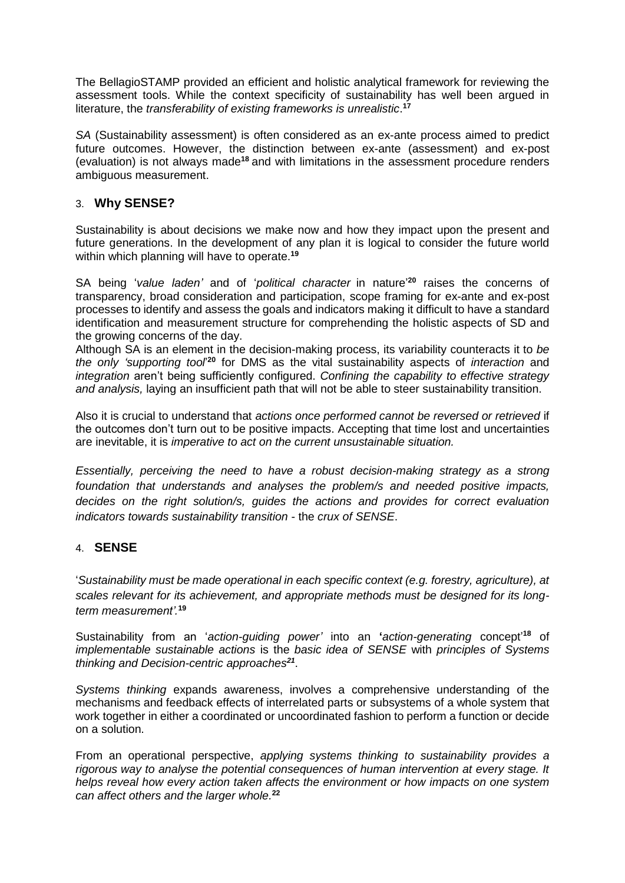The BellagioSTAMP provided an efficient and holistic analytical framework for reviewing the assessment tools. While the context specificity of sustainability has well been argued in literature, the *transferability of existing frameworks is unrealistic*. **17**

*SA* (Sustainability assessment) is often considered as an ex-ante process aimed to predict future outcomes. However, the distinction between ex-ante (assessment) and ex-post (evaluation) is not always made**<sup>18</sup>** and with limitations in the assessment procedure renders ambiguous measurement.

### 3. **Why SENSE?**

Sustainability is about decisions we make now and how they impact upon the present and future generations. In the development of any plan it is logical to consider the future world within which planning will have to operate. **19**

SA being '*value laden'* and of '*political character* in nature' **<sup>20</sup>** raises the concerns of transparency, broad consideration and participation, scope framing for ex-ante and ex-post processes to identify and assess the goals and indicators making it difficult to have a standard identification and measurement structure for comprehending the holistic aspects of SD and the growing concerns of the day.

Although SA is an element in the decision-making process, its variability counteracts it to *be the only 'supporting tool*' **<sup>20</sup>** for DMS as the vital sustainability aspects of *interaction* and *integration* aren't being sufficiently configured. *Confining the capability to effective strategy and analysis,* laying an insufficient path that will not be able to steer sustainability transition.

Also it is crucial to understand that *actions once performed cannot be reversed or retrieved* if the outcomes don't turn out to be positive impacts. Accepting that time lost and uncertainties are inevitable, it is *imperative to act on the current unsustainable situation.*

*Essentially, perceiving the need to have a robust decision-making strategy as a strong foundation that understands and analyses the problem/s and needed positive impacts, decides on the right solution/s, guides the actions and provides for correct evaluation indicators towards sustainability transition* - the *crux of SENSE*.

## 4. **SENSE**

'*Sustainability must be made operational in each specific context (e.g. forestry, agriculture), at scales relevant for its achievement, and appropriate methods must be designed for its longterm measurement'.* **19**

Sustainability from an '*action-guiding power'* into an **'***action-generating* concept' **<sup>18</sup>** of *implementable sustainable actions* is the *basic idea of SENSE* with *principles of Systems thinking and Decision-centric approaches<sup>21</sup>* .

*Systems thinking* expands awareness, involves a comprehensive understanding of the mechanisms and feedback effects of interrelated parts or subsystems of a whole system that work together in either a coordinated or uncoordinated fashion to perform a function or decide on a solution.

From an operational perspective, *applying systems thinking to sustainability provides a rigorous way to analyse the potential consequences of human intervention at every stage. It helps reveal how every action taken affects the environment or how impacts on one system can affect others and the larger whole.* **22**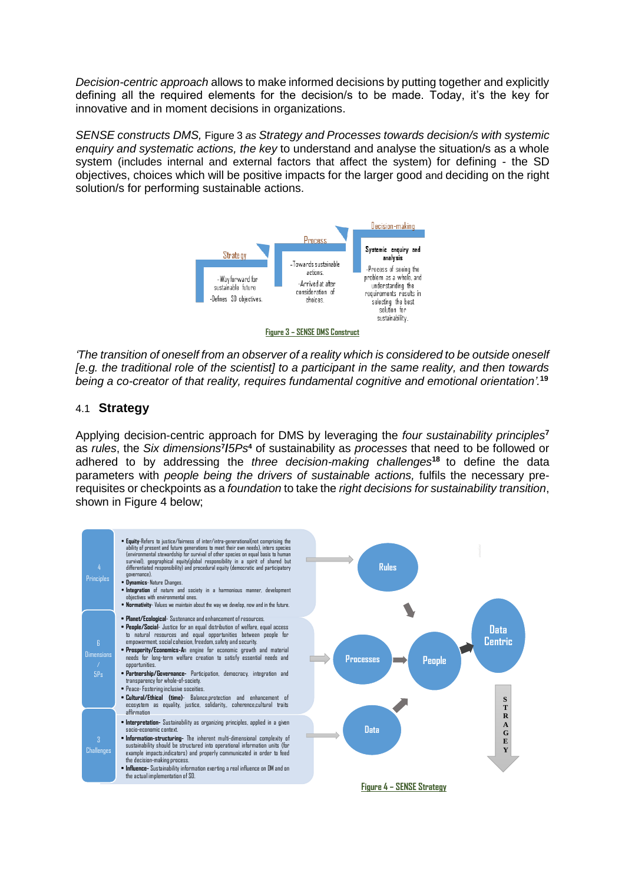*Decision-centric approach* allows to make informed decisions by putting together and explicitly defining all the required elements for the decision/s to be made. Today, it's the key for innovative and in moment decisions in organizations.

*SENSE constructs DMS,* Figure 3 *as Strategy and Processes towards decision/s with systemic enquiry and systematic actions, the key* to understand and analyse the situation/s as a whole system (includes internal and external factors that affect the system) for defining - the SD objectives, choices which will be positive impacts for the larger good and deciding on the right solution/s for performing sustainable actions.



*'The transition of oneself from an observer of a reality which is considered to be outside oneself [e.g. the traditional role of the scientist] to a participant in the same reality, and then towards being a co-creator of that reality, requires fundamental cognitive and emotional orientation'.* **19**

#### 4.1 **Strategy**

Applying decision-centric approach for DMS by leveraging the *four sustainability principles***<sup>7</sup>** as *rules*, the *Six dimensions***<sup>7</sup> /***5Ps***<sup>4</sup>** of sustainability as *processes* that need to be followed or adhered to by addressing the *three decision-making challenges***<sup>18</sup>** to define the data parameters with *people being the drivers of sustainable actions,* fulfils the necessary prerequisites or checkpoints as a *foundation* to take the *right decisions for sustainability transition*, shown in Figure 4 below;

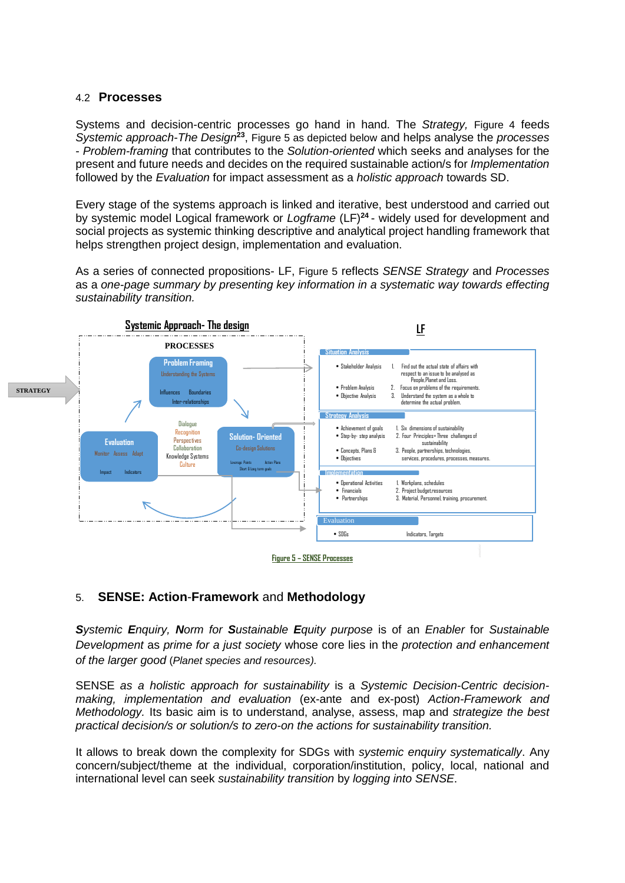#### 4.2 **Processes**

Systems and decision-centric processes go hand in hand. The *Strategy,* Figure 4 feeds *Systemic approach-The Design***<sup>23</sup>** , Figure 5 as depicted below and helps analyse the *processes* - *Problem-framing* that contributes to the *Solution-oriented* which seeks and analyses for the present and future needs and decides on the required sustainable action/s for *Implementation*  followed by the *Evaluation* for impact assessment as a *holistic approach* towards SD.

Every stage of the systems approach is linked and iterative, best understood and carried out by systemic model Logical framework or *Logframe* (LF)**<sup>24</sup>** - widely used for development and social projects as systemic thinking descriptive and analytical project handling framework that helps strengthen project design, implementation and evaluation.

As a series of connected propositions- LF, Figure 5 reflects *SENSE Strategy* and *Processes* as a *one-page summary by presenting key information in a systematic way towards effecting sustainability transition.* 



## 5. **SENSE: Action**-**Framework** and **Methodology**

*Systemic Enquiry, Norm for Sustainable Equity purpose* is of an *Enabler* for *Sustainable Development* as *prime for a just society* whose core lies in the *protection and enhancement of the larger good* (*Planet species and resources).*

SENSE *as a holistic approach for sustainability* is a *Systemic Decision-Centric decisionmaking, implementation and evaluation* (ex-ante and ex-post) *Action-Framework and Methodology.* Its basic aim is to understand, analyse, assess, map and *strategize the best practical decision/s or solution/s to zero-on the actions for sustainability transition.*

It allows to break down the complexity for SDGs with *systemic enquiry systematically*. Any concern/subject/theme at the individual, corporation/institution, policy, local, national and international level can seek *sustainability transition* by *logging into SENSE*.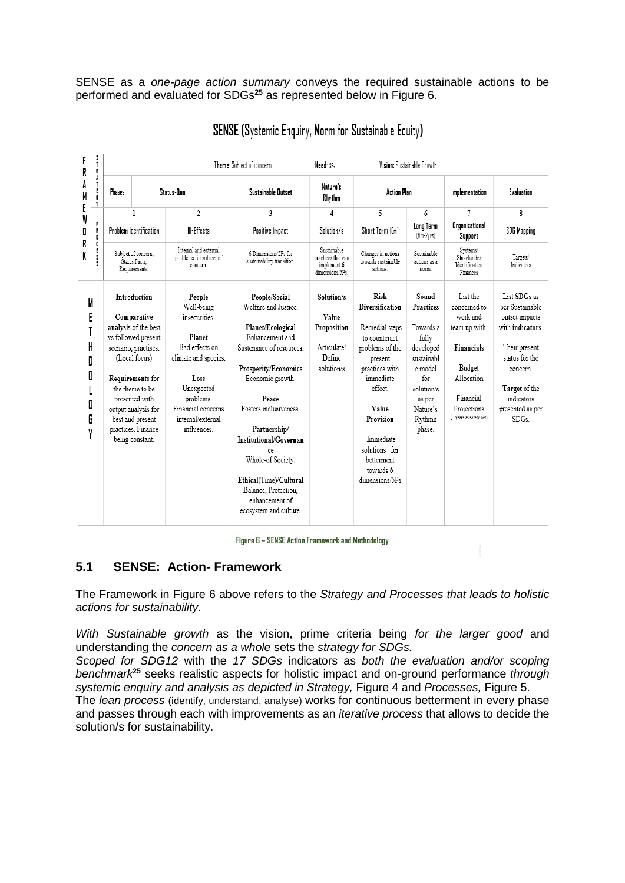SENSE as a *one-page action summary* conveys the required sustainable actions to be performed and evaluated for SDGs**<sup>25</sup>** as represented below in Figure 6.

| i<br>T<br>F<br>R<br>R.<br>Å<br>A<br>Ĩ.<br>E<br>M<br>G.<br>Y<br>E<br>W<br>p<br>0<br>R.<br>O<br>R<br>C<br>E<br>K<br>Ŝ.<br>3 |                      |                                                                                                                                                                                                                                                                                |                                                                                                                                                                                        | Need: 3P.<br>Theme: Subiect of concern                                                                                                                                                                                                                                                                                                                             |                                                                           | Vision: Sustainable Growth                                                                                                                                                                                                           |                                                                                                                                                      |                                                                                                                                                    |                                                                                                                                                                                 |
|---------------------------------------------------------------------------------------------------------------------------|----------------------|--------------------------------------------------------------------------------------------------------------------------------------------------------------------------------------------------------------------------------------------------------------------------------|----------------------------------------------------------------------------------------------------------------------------------------------------------------------------------------|--------------------------------------------------------------------------------------------------------------------------------------------------------------------------------------------------------------------------------------------------------------------------------------------------------------------------------------------------------------------|---------------------------------------------------------------------------|--------------------------------------------------------------------------------------------------------------------------------------------------------------------------------------------------------------------------------------|------------------------------------------------------------------------------------------------------------------------------------------------------|----------------------------------------------------------------------------------------------------------------------------------------------------|---------------------------------------------------------------------------------------------------------------------------------------------------------------------------------|
|                                                                                                                           | Status-Quo<br>Phases |                                                                                                                                                                                                                                                                                | Nature's<br>Sustainable Outset<br>Rhythm                                                                                                                                               |                                                                                                                                                                                                                                                                                                                                                                    | <b>Action Plan</b>                                                        |                                                                                                                                                                                                                                      | Implementation                                                                                                                                       | Evaluation                                                                                                                                         |                                                                                                                                                                                 |
|                                                                                                                           | $\overline{c}$<br>1  |                                                                                                                                                                                                                                                                                | 3                                                                                                                                                                                      | 4                                                                                                                                                                                                                                                                                                                                                                  | 5<br>6                                                                    |                                                                                                                                                                                                                                      | 7                                                                                                                                                    | 8                                                                                                                                                  |                                                                                                                                                                                 |
|                                                                                                                           |                      | Problem Identification                                                                                                                                                                                                                                                         | III-Effects                                                                                                                                                                            | Positive Impact                                                                                                                                                                                                                                                                                                                                                    | Solution/s                                                                | Short Term (fim)                                                                                                                                                                                                                     | Long Term<br>$(bm-2vrs)$                                                                                                                             | <b>Organizational</b><br>Support                                                                                                                   | SDG Mapping                                                                                                                                                                     |
|                                                                                                                           |                      | Subject of concern:<br>Status.Facts.<br>Requirements.                                                                                                                                                                                                                          | Internal and external<br>problems for subject of<br>concern.                                                                                                                           | 6 Dimensions/5Ps for<br>sustainability transition.                                                                                                                                                                                                                                                                                                                 | Sustainable<br>practices that can<br>implement 6<br>dimensions/5Ps.       | Changes in actions<br>towards sustainable<br>actions.                                                                                                                                                                                | Sustainable<br>actions as a<br>norm.                                                                                                                 | Systems/<br>Stakeholder<br>Identification<br>Finances                                                                                              | Targets/<br>Indicators                                                                                                                                                          |
| M<br>E<br>H<br>D<br>0<br>0<br>G<br>Y                                                                                      |                      | <b>Introduction</b><br>Comparative<br>analysis of the best<br>vs followed present<br>scenario, practises.<br>(Local focus)<br><b>Requirements for</b><br>the theme to be<br>presented with<br>output analysis for<br>best and present<br>practices. Finance<br>being constant. | People<br>Well-being<br>insecurities.<br>Planet<br>Bad effects on<br>climate and species.<br>Loss<br>Unexpected<br>problems.<br>Financial concerns<br>internal/external<br>influences. | People/Social<br>Welfare and Justice.<br>Planet/Ecological<br>Enhancement and<br>Sustenance of resources.<br>Prosperity/Economics<br>Economic growth.<br>Peace<br>Fosters inclusiveness.<br>Partnership/<br><b>Institutional/Governan</b><br>Ce<br>Whole-of Society.<br>Ethical(Time)/Cultural<br>Balance, Protection.<br>enhancement of<br>ecosystem and culture. | Solution/s<br>Value<br>Proposition<br>Articulate/<br>Define<br>solution/s | Risk<br>Diversification<br>-Remedial steps<br>to counteract<br>problems of the<br>present<br>practices with<br>immediate<br>effect<br>Value<br>Provision<br>-Immediate<br>solutions for<br>betterment<br>towards 6<br>dimensions/5Ps | Sound<br><b>Practices</b><br>Towards a<br>fully<br>developed<br>sustainabl<br>e model<br>for<br>solution/s<br>as per<br>Nature's<br>Rythmn<br>phase. | List the<br>concerned to<br>work and<br>team up with.<br>Financials<br>Budget<br>Allocation<br>Financial<br>Projections<br>(3 years as safety net) | List SDGs as<br>per Sustainable<br>outset impacts<br>with indicators.<br>Their present<br>status for the<br>concern.<br>Target of the<br>indicators<br>presented as per<br>SDGs |

SENSE (Systemic Enquiry, Norm for Sustainable Equity)

**Figure 6 – SENSE Action Framework and Methodology**

## **5.1 SENSE: Action- Framework**

The Framework in Figure 6 above refers to the *Strategy and Processes that leads to holistic actions for sustainability.*

*With Sustainable growth* as the vision, prime criteria being *for the larger good* and understanding the *concern as a whole* sets the *strategy for SDGs.*

*Scoped for SDG12* with the *17 SDGs* indicators as *both the evaluation and/or scoping benchmark***<sup>25</sup>** seeks realistic aspects for holistic impact and on-ground performance *through systemic enquiry and analysis as depicted in Strategy,* Figure 4 and *Processes,* Figure 5.

The *lean process* (identify, understand, analyse) works for continuous betterment in every phase and passes through each with improvements as an *iterative process* that allows to decide the solution/s for sustainability.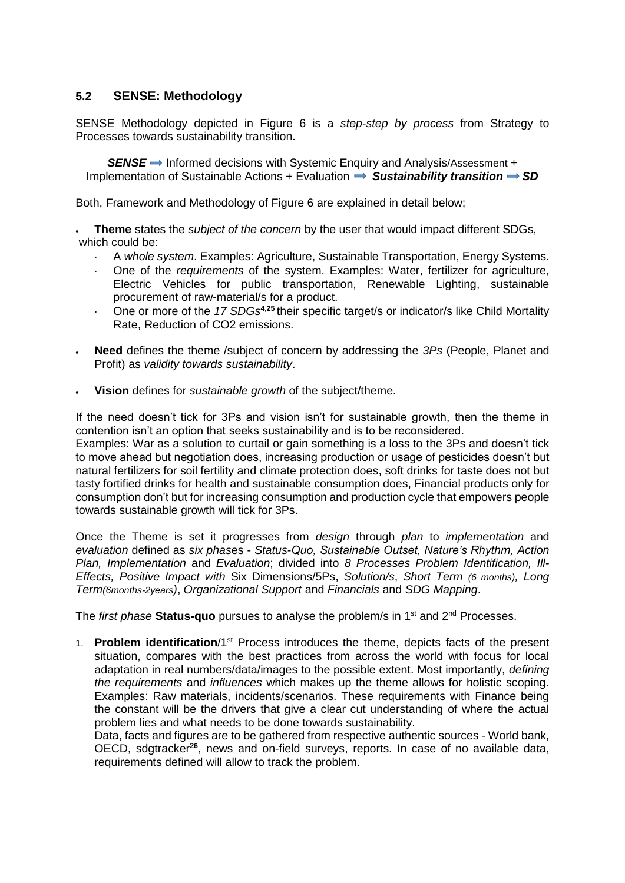## **5.2 SENSE: Methodology**

SENSE Methodology depicted in Figure 6 is a *step-step by process* from Strategy to Processes towards sustainability transition.

**SENSE** → Informed decisions with Systemic Enquiry and Analysis/Assessment + Implementation of Sustainable Actions + Evaluation  $\Rightarrow$  Sustainability transition  $\Rightarrow$  SD

Both, Framework and Methodology of Figure 6 are explained in detail below;

 **Theme** states the *subject of the concern* by the user that would impact different SDGs, which could be:

- A *whole system*. Examples: Agriculture, Sustainable Transportation, Energy Systems.
- One of the *requirements* of the system. Examples: Water, fertilizer for agriculture, Electric Vehicles for public transportation, Renewable Lighting, sustainable procurement of raw-material/s for a product.
- One or more of the *17 SDGs***4,25** their specific target/s or indicator/s like Child Mortality Rate, Reduction of CO2 emissions.
- **Need** defines the theme /subject of concern by addressing the *3Ps* (People, Planet and Profit) as *validity towards sustainability*.
- **Vision** defines for *sustainable growth* of the subject/theme.

If the need doesn't tick for 3Ps and vision isn't for sustainable growth, then the theme in contention isn't an option that seeks sustainability and is to be reconsidered.

Examples: War as a solution to curtail or gain something is a loss to the 3Ps and doesn't tick to move ahead but negotiation does, increasing production or usage of pesticides doesn't but natural fertilizers for soil fertility and climate protection does, soft drinks for taste does not but tasty fortified drinks for health and sustainable consumption does, Financial products only for consumption don't but for increasing consumption and production cycle that empowers people towards sustainable growth will tick for 3Ps.

Once the Theme is set it progresses from *design* through *plan* to *implementation* and *evaluation* defined as *six phas*es - *Status-Quo, Sustainable Outset, Nature's Rhythm, Action Plan, Implementation* and *Evaluation*; divided into *8 Processes Problem Identification, Ill-Effects, Positive Impact with* Six Dimensions/5Ps, *Solution/s*, *Short Term (6 months), Long Term(6months-2years)*, *Organizational Support* and *Financials* and *SDG Mapping*.

The *first phase* Status-quo pursues to analyse the problem/s in 1<sup>st</sup> and 2<sup>nd</sup> Processes.

1. **Problem identification**/1st Process introduces the theme, depicts facts of the present situation, compares with the best practices from across the world with focus for local adaptation in real numbers/data/images to the possible extent. Most importantly, *defining the requirements* and *influences* which makes up the theme allows for holistic scoping. Examples: Raw materials, incidents/scenarios. These requirements with Finance being the constant will be the drivers that give a clear cut understanding of where the actual problem lies and what needs to be done towards sustainability.

Data, facts and figures are to be gathered from respective authentic sources - World bank, OECD, sdgtracker**<sup>26</sup>**, news and on-field surveys, reports. In case of no available data, requirements defined will allow to track the problem.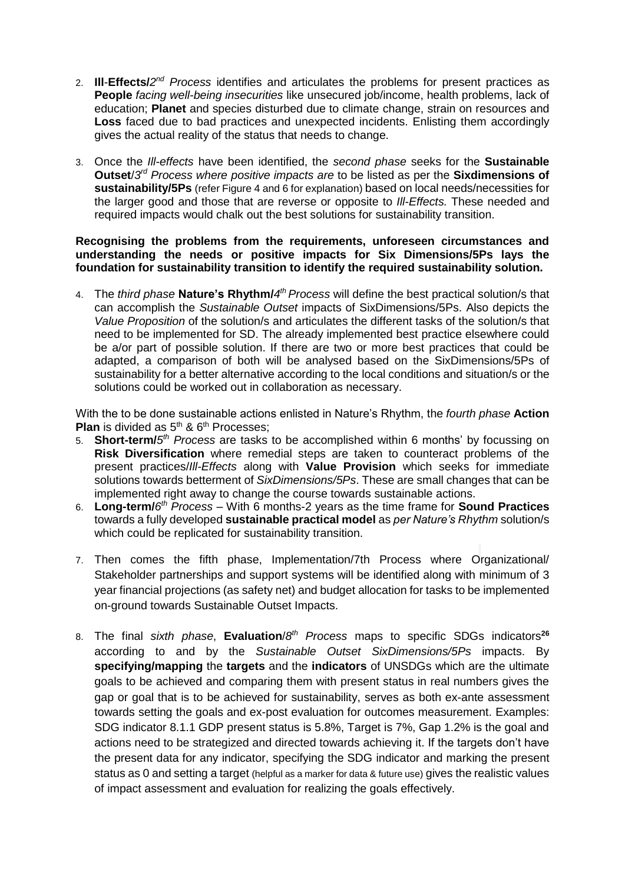- 2. **Ill**-**Effects/***2 nd Process* identifies and articulates the problems for present practices as **People** *facing well-being insecurities* like unsecured job/income, health problems, lack of education; **Planet** and species disturbed due to climate change, strain on resources and **Loss** faced due to bad practices and unexpected incidents. Enlisting them accordingly gives the actual reality of the status that needs to change.
- 3. Once the *Ill-effects* have been identified, the *second phase* seeks for the **Sustainable Outset**/3<sup>*d*</sup> *Process where positive impacts are to be listed as per the Sixdimensions of* **sustainability/5Ps** (refer Figure 4 and 6 for explanation) based on local needs/necessities for the larger good and those that are reverse or opposite to *Ill-Effects.* These needed and required impacts would chalk out the best solutions for sustainability transition.

#### **Recognising the problems from the requirements, unforeseen circumstances and understanding the needs or positive impacts for Six Dimensions/5Ps lays the foundation for sustainability transition to identify the required sustainability solution.**

4. The *third phase* **Nature's Rhythm/***4 th Process* will define the best practical solution/s that can accomplish the *Sustainable Outset* impacts of SixDimensions/5Ps. Also depicts the *Value Proposition* of the solution/s and articulates the different tasks of the solution/s that need to be implemented for SD. The already implemented best practice elsewhere could be a/or part of possible solution. If there are two or more best practices that could be adapted, a comparison of both will be analysed based on the SixDimensions/5Ps of sustainability for a better alternative according to the local conditions and situation/s or the solutions could be worked out in collaboration as necessary.

With the to be done sustainable actions enlisted in Nature's Rhythm, the *fourth phase* **Action Plan** is divided as 5<sup>th</sup> & 6<sup>th</sup> Processes;

- 5. **Short-term/***5 th Process* are tasks to be accomplished within 6 months' by focussing on **Risk Diversification** where remedial steps are taken to counteract problems of the present practices/*Ill-Effects* along with **Value Provision** which seeks for immediate solutions towards betterment of *SixDimensions/5Ps*. These are small changes that can be implemented right away to change the course towards sustainable actions.
- 6. **Long-term/***6 th Process* With 6 months-2 years as the time frame for **Sound Practices** towards a fully developed **sustainable practical model** as *per Nature's Rhythm* solution/s which could be replicated for sustainability transition.
- 7. Then comes the fifth phase, Implementation/7th Process where Organizational/ Stakeholder partnerships and support systems will be identified along with minimum of 3 year financial projections (as safety net) and budget allocation for tasks to be implemented on-ground towards Sustainable Outset Impacts.
- 8. The final *sixth phase*, **Evaluation**/*8 th Process* maps to specific SDGs indicators**<sup>26</sup>** according to and by the *Sustainable Outset SixDimensions/5Ps* impacts. By **specifying/mapping** the **targets** and the **indicators** of UNSDGs which are the ultimate goals to be achieved and comparing them with present status in real numbers gives the gap or goal that is to be achieved for sustainability, serves as both ex-ante assessment towards setting the goals and ex-post evaluation for outcomes measurement. Examples: SDG indicator 8.1.1 GDP present status is 5.8%, Target is 7%, Gap 1.2% is the goal and actions need to be strategized and directed towards achieving it. If the targets don't have the present data for any indicator, specifying the SDG indicator and marking the present status as 0 and setting a target (helpful as a marker for data & future use) gives the realistic values of impact assessment and evaluation for realizing the goals effectively.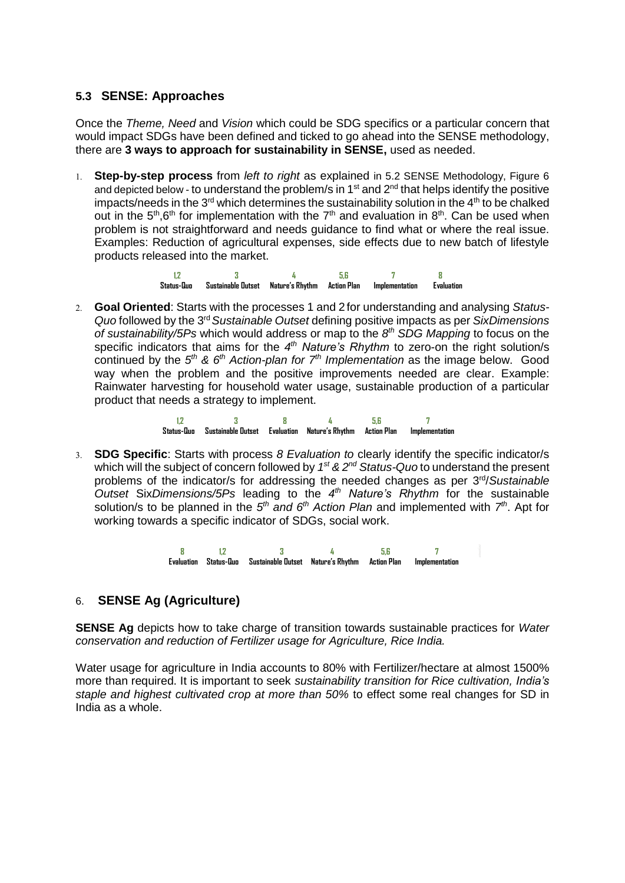## **5.3 SENSE: Approaches**

Once the *Theme, Need* and *Vision* which could be SDG specifics or a particular concern that would impact SDGs have been defined and ticked to go ahead into the SENSE methodology, there are **3 ways to approach for sustainability in SENSE,** used as needed.

 **Step-by-step process** from *left to right* as explained in 5.2 SENSE Methodology, Figure 6 and depicted below - to understand the problem/s in  $1<sup>st</sup>$  and  $2<sup>nd</sup>$  that helps identify the positive impacts/needs in the  $3<sup>rd</sup>$  which determines the sustainability solution in the  $4<sup>th</sup>$  to be chalked out in the  $5<sup>th</sup>$ ,6<sup>th</sup> for implementation with the  $7<sup>th</sup>$  and evaluation in  $8<sup>th</sup>$ . Can be used when problem is not straightforward and needs guidance to find what or where the real issue. Examples: Reduction of agricultural expenses, side effects due to new batch of lifestyle products released into the market.

> **1,2 3 4 5,6 7 8 Status-Quo Sustainable Outset Nature's Rhythm Action Plan Implementation Evaluation**

 **Goal Oriented**: Starts with the processes 1 and 2 for understanding and analysing *Status-* Quo followed by the 3<sup>rd</sup> Sustainable Outset defining positive impacts as per SixDimensions *of sustainability/5Ps* which would address or map to the *8 th SDG Mapping* to focus on the specific indicators that aims for the 4<sup>th</sup> Nature's Rhythm to zero-on the right solution/s continued by the  $5<sup>th</sup>$  &  $6<sup>th</sup>$  *Action-plan for*  $7<sup>th</sup>$  *Implementation* as the image below. Good way when the problem and the positive improvements needed are clear. Example: Rainwater harvesting for household water usage, sustainable production of a particular product that needs a strategy to implement.

> **1,2 3 8 4 5,6 7 Status-Quo Sustainable Outset Evaluation Nature's Rhythm Action Plan Implementation**

 **SDG Specific**: Starts with process *8 Evaluation to* clearly identify the specific indicator/s which will the subject of concern followed by 1<sup>st</sup> & 2<sup>nd</sup> Status-Quo to understand the present problems of the indicator/s for addressing the needed changes as per 3<sup>rd</sup>/Sustainable *Outset* Six*Dimensions/5Ps* leading to the *4 th Nature's Rhythm* for the sustainable solution/s to be planned in the 5<sup>th</sup> and 6<sup>th</sup> Action Plan and implemented with 7<sup>th</sup>. Apt for working towards a specific indicator of SDGs, social work.

> **8 1,2 3 4 5,6 7 Evaluation Status-Quo Sustainable Outset Nature's Rhythm Action Plan Implementation**

## 6. **SENSE Ag (Agriculture)**

**SENSE Ag** depicts how to take charge of transition towards sustainable practices for *Water conservation and reduction of Fertilizer usage for Agriculture, Rice India.* 

Water usage for agriculture in India accounts to 80% with Fertilizer/hectare at almost 1500% more than required. It is important to seek *sustainability transition for Rice cultivation, India's staple and highest cultivated crop at more than 50%* to effect some real changes for SD in India as a whole.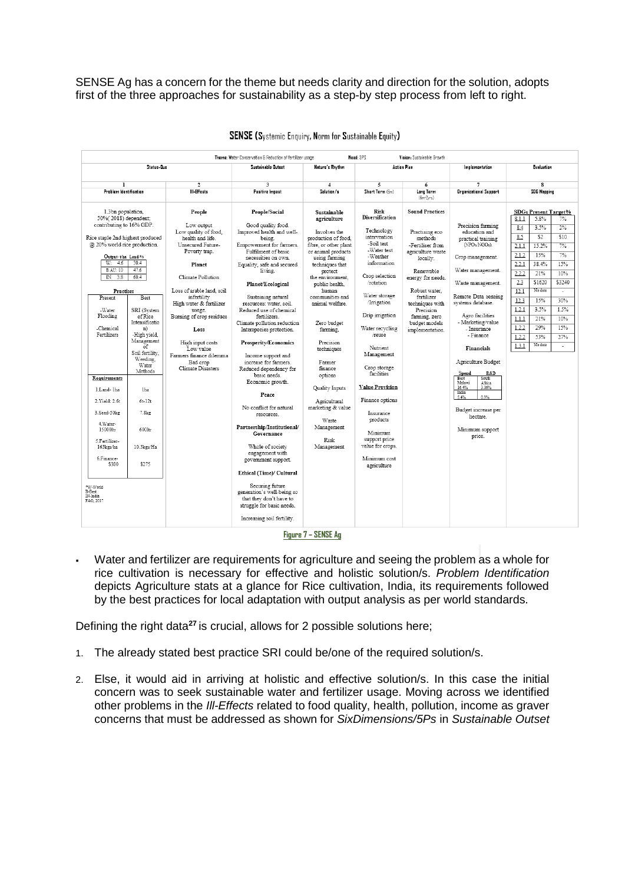SENSE Ag has a concern for the theme but needs clarity and direction for the solution, adopts first of the three approaches for sustainability as a step-by step process from left to right.

|                                                                                                                                                                                                 |                                                                                             |                                                                                                                   | Theme: Water Conservation & Reduction of fertilizer usage                                                                                                                          |                                                                                                                                                      | Need: 3PS                                                                                                                   | Vision: Sustainable Browth                                                                                                                 |                                                                                                              |                                                                                                                                                               |  |
|-------------------------------------------------------------------------------------------------------------------------------------------------------------------------------------------------|---------------------------------------------------------------------------------------------|-------------------------------------------------------------------------------------------------------------------|------------------------------------------------------------------------------------------------------------------------------------------------------------------------------------|------------------------------------------------------------------------------------------------------------------------------------------------------|-----------------------------------------------------------------------------------------------------------------------------|--------------------------------------------------------------------------------------------------------------------------------------------|--------------------------------------------------------------------------------------------------------------|---------------------------------------------------------------------------------------------------------------------------------------------------------------|--|
| Status-Quo                                                                                                                                                                                      |                                                                                             |                                                                                                                   | Sustainable Outset                                                                                                                                                                 | Nature's Rhythm                                                                                                                                      | <b>Action Plan</b>                                                                                                          |                                                                                                                                            | Implementation                                                                                               | Evaluation                                                                                                                                                    |  |
| 1                                                                                                                                                                                               |                                                                                             | 2                                                                                                                 | 3                                                                                                                                                                                  | 4                                                                                                                                                    | 5                                                                                                                           | 6                                                                                                                                          |                                                                                                              | 8                                                                                                                                                             |  |
|                                                                                                                                                                                                 |                                                                                             | III-Effects                                                                                                       |                                                                                                                                                                                    |                                                                                                                                                      |                                                                                                                             | Long Term                                                                                                                                  |                                                                                                              |                                                                                                                                                               |  |
| Problem Identification                                                                                                                                                                          |                                                                                             |                                                                                                                   | Positive Impact                                                                                                                                                                    | Solution/s                                                                                                                                           | Short Term (6m)                                                                                                             | $(6m-2vrs)$                                                                                                                                | <b>Organizational Support</b>                                                                                | SDG Mapping                                                                                                                                                   |  |
| 1.3bn population,<br>50%(2018) dependent;<br>contributing to 16% GDP.<br>Rice staple 2nd highest produced<br>@ 20% world rice production.<br>Output-tha Land/%<br>W <sub>r</sub><br>4.6<br>30.4 |                                                                                             | People<br>Low output<br>Low quality of food,<br>health and life.<br>Unsecured Future-<br>Poverty trap.<br>Planet  | People/Social<br>Good quality food.<br>Improved health and well-<br>being.<br>Empowerment for farmers.<br>Fulfilment of basic<br>necessities on own.<br>Equality, safe and secured | Sustainable<br>agriculture<br>Involves the<br>production of food,<br>fibre, or other plant<br>or animal products<br>using farming<br>techniques that | <b>Risk</b><br><b>Diversification</b><br>Technology<br>intervention<br>-Soil test<br>-Water test<br>-Weather<br>information | <b>Sound Practices</b><br>Practising eco<br>methods<br>-Fertiliser from<br>agriculture waste<br>locally.<br>Renewable<br>energy for needs. | Precision farming<br>education and<br>practical training<br>(NPOs/NGOs).<br>Crop management.                 | SDGs Present Target%<br>5.8%<br>8.1.1<br>7%<br>3.5%<br>2%<br>8.4<br>8.5<br>\$2<br>\$10<br>15.2%<br>7%<br>2.1.1<br>7%<br>15%<br>2.1.2<br>38.4%<br>15%<br>2.2.1 |  |
| <b>B:AU: 10</b><br>47.6<br>IN: 3.8<br>60.4                                                                                                                                                      |                                                                                             | Climate Pollution                                                                                                 | living.<br>Planet/Ecological                                                                                                                                                       | protect<br>the environment.<br>public health.                                                                                                        | Crop selection<br>/rotation                                                                                                 |                                                                                                                                            | Water management.<br>Waste management.                                                                       | 2.2.2<br>10%<br>21%<br>\$3240<br>2.3<br>\$1620                                                                                                                |  |
| Practises<br>Present<br>-Water<br>Flooding<br>-Chemical<br>Fertilizers                                                                                                                          | <b>Best</b><br>SRI (System<br>of Rice<br>Intensificatio<br>n)<br>-High yield,<br>Management | Loss of arable land, soil<br>infertility<br>High water & fertilizer<br>usage.<br>Burning of crop residues<br>Loss | Sustaining natural<br>resources: water, soil.<br>Reduced use of chemical<br>fertilizers.<br>Climate pollution reduction<br>Interspecies protection.                                | human<br>communities and<br>animal welfare.<br>Zero budget<br>farming.                                                                               | Water storage<br><b>Irrigation</b><br>Drip irrigation<br>Water recycling<br>/reuse                                          | Robust water.<br>fertilizer<br>techniques with<br>Precision<br>farming, zero<br>budget models<br>implementation.                           | Remote Data sensing<br>systems database.<br>Agro facilities<br>- Marketing/value<br>- Insurance<br>- Finance | No data<br>12.1<br>÷<br>30%<br>12.3<br>15%<br>1.5%<br>3.5%<br>1.2.1<br>10%<br>21%<br>1.1.1<br>15%<br>29%<br>1.2.2<br>27%<br>53%<br>1.2.2                      |  |
| Requirements                                                                                                                                                                                    | $\alpha$ f<br>Soil fertility,<br>Weeding,<br>Water<br>Methods                               | High input costs<br>Low value<br>Farmers finance dilemma<br>Bad crop<br>Climate Disasters                         | <b>Prosperity/Economics</b><br>Income support and<br>increase for farmers.<br>Reduced dependency for<br>basic needs.                                                               | Precision<br>techniques<br>Farmer<br>finance<br>options                                                                                              | Nutrient<br>Management<br>Crop storage<br>facilities                                                                        |                                                                                                                                            | <b>Financials</b><br>Agriculture Budget<br>R&D<br>Spend<br>Best<br>South                                     | No data<br>1.3.1<br>÷.                                                                                                                                        |  |
| 1.Land-1ha                                                                                                                                                                                      | lha                                                                                         |                                                                                                                   | Economic growth.<br>Peace                                                                                                                                                          | Quality Inputs                                                                                                                                       | <b>Value Provision</b>                                                                                                      |                                                                                                                                            | Malawi<br>Africa<br>16.4%<br>3.06%<br>India                                                                  |                                                                                                                                                               |  |
| 2. Yield: 2.6t                                                                                                                                                                                  | $6t - 12t$                                                                                  |                                                                                                                   | No conflict for natural                                                                                                                                                            | Agricultural<br>marketing & value                                                                                                                    | Finance options                                                                                                             |                                                                                                                                            | 0.3%<br>5.4%                                                                                                 |                                                                                                                                                               |  |
| 3.Seed-50kg<br>4. Water-                                                                                                                                                                        | 7.8kz                                                                                       |                                                                                                                   | resources.                                                                                                                                                                         | Waste                                                                                                                                                | Insurance<br>products                                                                                                       |                                                                                                                                            | Budget increase per<br>hectare.                                                                              |                                                                                                                                                               |  |
| 15000ltr<br>5.Fertilizer-                                                                                                                                                                       | 600ltr                                                                                      |                                                                                                                   | Partnership/Institutional/<br>Governance                                                                                                                                           | Management<br>Risk                                                                                                                                   | Minimum<br>support price                                                                                                    |                                                                                                                                            | Minimum support<br>price.                                                                                    |                                                                                                                                                               |  |
| 165kgs/ha<br>6.Finance-                                                                                                                                                                         | 10.5kgs/Ha                                                                                  |                                                                                                                   | Whole of society<br>engagement with                                                                                                                                                | Management                                                                                                                                           | value for crops.                                                                                                            |                                                                                                                                            |                                                                                                              |                                                                                                                                                               |  |
| \$300                                                                                                                                                                                           | \$275                                                                                       |                                                                                                                   | government support.<br>Ethical (Time)/ Cultural                                                                                                                                    |                                                                                                                                                      | Minimum cost<br>agriculture                                                                                                 |                                                                                                                                            |                                                                                                              |                                                                                                                                                               |  |
| *W-World<br><b>B-Best</b><br>IN-India<br>FAO, 2017                                                                                                                                              |                                                                                             |                                                                                                                   | Securing future<br>generation's well-being so<br>that they don't have to<br>struggle for basic needs.<br>Increasing soil fertility.                                                | $     -$                                                                                                                                             |                                                                                                                             |                                                                                                                                            |                                                                                                              |                                                                                                                                                               |  |





 Water and fertilizer are requirements for agriculture and seeing the problem as a whole for rice cultivation is necessary for effective and holistic solution/s. *Problem Identification* depicts Agriculture stats at a glance for Rice cultivation, India, its requirements followed by the best practices for local adaptation with output analysis as per world standards.

Defining the right data**<sup>27</sup>** is crucial, allows for 2 possible solutions here;

- 1. The already stated best practice SRI could be/one of the required solution/s.
- 2. Else, it would aid in arriving at holistic and effective solution/s. In this case the initial concern was to seek sustainable water and fertilizer usage. Moving across we identified other problems in the *Ill-Effects* related to food quality, health, pollution, income as graver concerns that must be addressed as shown for *SixDimensions/5Ps* in *Sustainable Outset*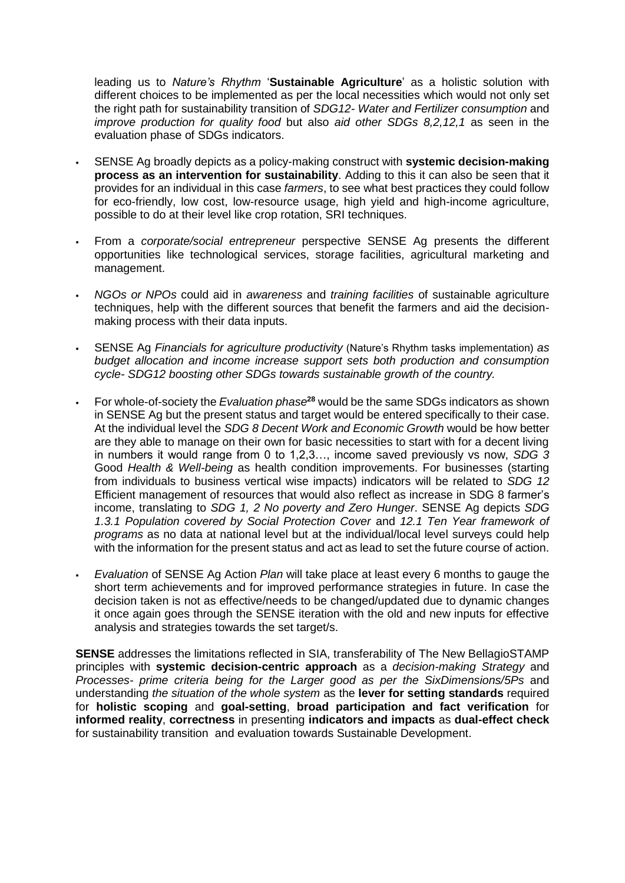leading us to *Nature's Rhythm* '**Sustainable Agriculture**' as a holistic solution with different choices to be implemented as per the local necessities which would not only set the right path for sustainability transition of *SDG12- Water and Fertilizer consumption* and *improve production for quality food* but also *aid other SDGs 8,2,12,1* as seen in the evaluation phase of SDGs indicators.

- SENSE Ag broadly depicts as a policy-making construct with **systemic decision-making process as an intervention for sustainability**. Adding to this it can also be seen that it provides for an individual in this case *farmers*, to see what best practices they could follow for eco-friendly, low cost, low-resource usage, high yield and high-income agriculture, possible to do at their level like crop rotation, SRI techniques.
- From a *corporate/social entrepreneur* perspective SENSE Ag presents the different opportunities like technological services, storage facilities, agricultural marketing and management.
- *NGOs or NPOs* could aid in *awareness* and *training facilities* of sustainable agriculture techniques, help with the different sources that benefit the farmers and aid the decisionmaking process with their data inputs.
- SENSE Ag *Financials for agriculture productivity* (Nature's Rhythm tasks implementation) *as budget allocation and income increase support sets both production and consumption cycle- SDG12 boosting other SDGs towards sustainable growth of the country.*
- For whole-of-society the *Evaluation phase***<sup>28</sup>** would be the same SDGs indicators as shown in SENSE Ag but the present status and target would be entered specifically to their case. At the individual level the *SDG 8 Decent Work and Economic Growth* would be how better are they able to manage on their own for basic necessities to start with for a decent living in numbers it would range from 0 to 1,2,3…, income saved previously vs now, *SDG 3* Good *Health & Well-being* as health condition improvements. For businesses (starting from individuals to business vertical wise impacts) indicators will be related to *SDG 12* Efficient management of resources that would also reflect as increase in SDG 8 farmer's income, translating to *SDG 1, 2 No poverty and Zero Hunger*. SENSE Ag depicts *SDG 1.3.1 Population covered by Social Protection Cover* and *12.1 Ten Year framework of programs* as no data at national level but at the individual/local level surveys could help with the information for the present status and act as lead to set the future course of action.
- *Evaluation* of SENSE Ag Action *Plan* will take place at least every 6 months to gauge the short term achievements and for improved performance strategies in future. In case the decision taken is not as effective/needs to be changed/updated due to dynamic changes it once again goes through the SENSE iteration with the old and new inputs for effective analysis and strategies towards the set target/s.

**SENSE** addresses the limitations reflected in SIA, transferability of The New BellagioSTAMP principles with **systemic decision-centric approach** as a *decision-making Strategy* and *Processes- prime criteria being for the Larger good as per the SixDimensions/5Ps* and understanding *the situation of the whole system* as the **lever for setting standards** required for **holistic scoping** and **goal-setting**, **broad participation and fact verification** for **informed reality**, **correctness** in presenting **indicators and impacts** as **dual-effect check** for sustainability transition and evaluation towards Sustainable Development.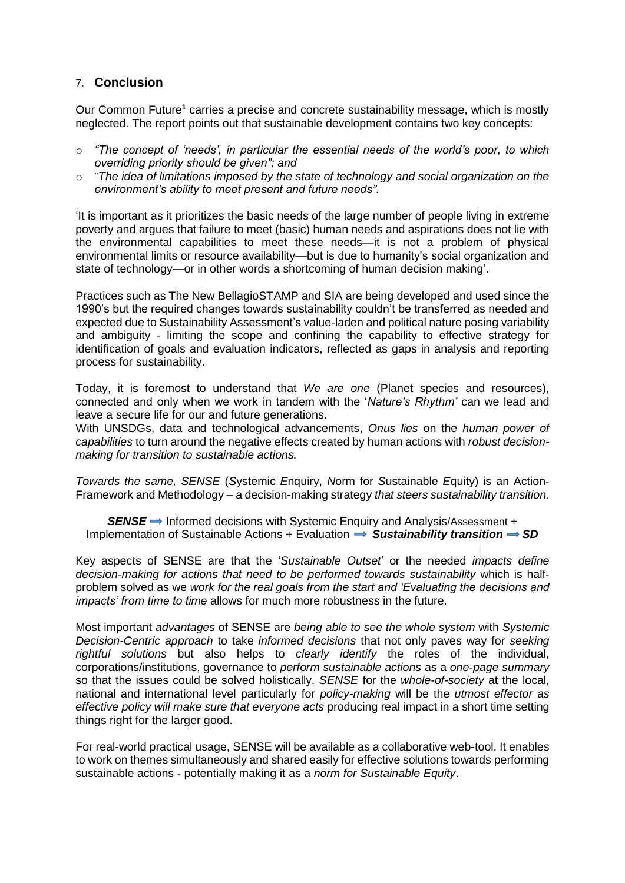## 7. **Conclusion**

Our Common Future**<sup>1</sup>** carries a precise and concrete sustainability message, which is mostly neglected. The report points out that sustainable development contains two key concepts:

- o *"The concept of 'needs', in particular the essential needs of the world's poor, to which overriding priority should be given"; and*
- o "*The idea of limitations imposed by the state of technology and social organization on the environment's ability to meet present and future needs".*

'It is important as it prioritizes the basic needs of the large number of people living in extreme poverty and argues that failure to meet (basic) human needs and aspirations does not lie with the environmental capabilities to meet these needs—it is not a problem of physical environmental limits or resource availability—but is due to humanity's social organization and state of technology—or in other words a shortcoming of human decision making'.

Practices such as The New BellagioSTAMP and SIA are being developed and used since the 1990's but the required changes towards sustainability couldn't be transferred as needed and expected due to Sustainability Assessment's value-laden and political nature posing variability and ambiguity - limiting the scope and confining the capability to effective strategy for identification of goals and evaluation indicators, reflected as gaps in analysis and reporting process for sustainability.

Today, it is foremost to understand that *We are one* (Planet species and resources), connected and only when we work in tandem with the '*Nature's Rhythm'* can we lead and leave a secure life for our and future generations.

With UNSDGs, data and technological advancements, *Onus lies* on the *human power of capabilities* to turn around the negative effects created by human actions with *robust decisionmaking for transition to sustainable actions.*

*Towards the same, SENSE* (*S*ystemic *E*nquiry, *N*orm for *S*ustainable *E*quity) is an Action-Framework and Methodology – a decision-making strategy *that steers sustainability transition.*

**SENSE** → Informed decisions with Systemic Enquiry and Analysis/Assessment + Implementation of Sustainable Actions + Evaluation  $\Rightarrow$  Sustainability transition  $\Rightarrow$  SD

Key aspects of SENSE are that the '*Sustainable Outset*' or the needed *impacts define decision-making for actions that need to be performed towards sustainability* which is halfproblem solved as we *work for the real goals from the start and 'Evaluating the decisions and impacts' from time to time* allows for much more robustness in the future.

Most important *advantages* of SENSE are *being able to see the whole system* with *Systemic Decision-Centric approach* to take *informed decisions* that not only paves way for *seeking rightful solutions* but also helps to *clearly identify* the roles of the individual, corporations/institutions, governance to *perform sustainable actions* as a *one-page summary* so that the issues could be solved holistically. *SENSE* for the *whole-of-society* at the local, national and international level particularly for *policy-making* will be the *utmost effector as effective policy will make sure that everyone acts* producing real impact in a short time setting things right for the larger good.

For real-world practical usage, SENSE will be available as a collaborative web-tool. It enables to work on themes simultaneously and shared easily for effective solutions towards performing sustainable actions - potentially making it as a *norm for Sustainable Equity*.